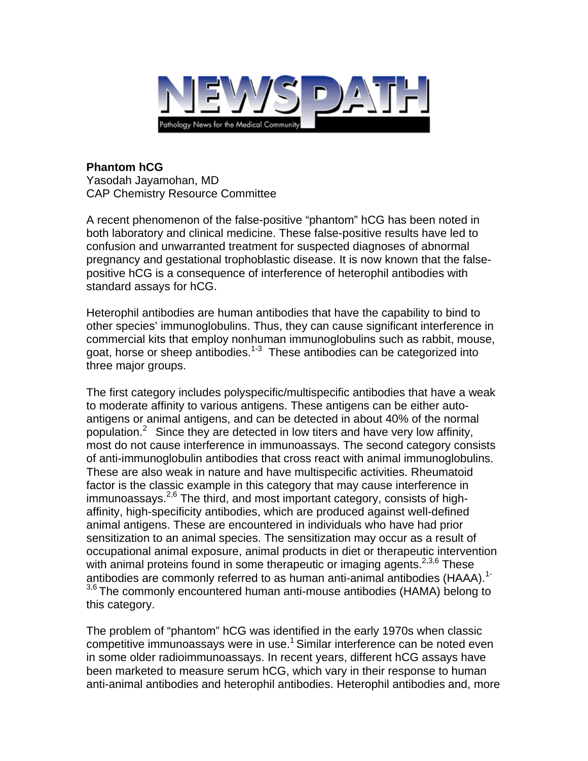

## **Phantom hCG**  Yasodah Jayamohan, MD CAP Chemistry Resource Committee

A recent phenomenon of the false-positive "phantom" hCG has been noted in both laboratory and clinical medicine. These false-positive results have led to confusion and unwarranted treatment for suspected diagnoses of abnormal pregnancy and gestational trophoblastic disease. It is now known that the falsepositive hCG is a consequence of interference of heterophil antibodies with standard assays for hCG.

Heterophil antibodies are human antibodies that have the capability to bind to other species' immunoglobulins. Thus, they can cause significant interference in commercial kits that employ nonhuman immunoglobulins such as rabbit, mouse, goat, horse or sheep antibodies.<sup>1-3</sup> These antibodies can be categorized into three major groups.

The first category includes polyspecific/multispecific antibodies that have a weak to moderate affinity to various antigens. These antigens can be either autoantigens or animal antigens, and can be detected in about 40% of the normal population.<sup>2</sup> Since they are detected in low titers and have very low affinity, most do not cause interference in immunoassays. The second category consists of anti-immunoglobulin antibodies that cross react with animal immunoglobulins. These are also weak in nature and have multispecific activities. Rheumatoid factor is the classic example in this category that may cause interference in immunoassays.<sup>2,6</sup> The third, and most important category, consists of highaffinity, high-specificity antibodies, which are produced against well-defined animal antigens. These are encountered in individuals who have had prior sensitization to an animal species. The sensitization may occur as a result of occupational animal exposure, animal products in diet or therapeutic intervention with animal proteins found in some therapeutic or imaging agents. $2,3,6$  These antibodies are commonly referred to as human anti-animal antibodies (HAAA).<sup>1-</sup>  $3,6$  The commonly encountered human anti-mouse antibodies (HAMA) belong to this category.

The problem of "phantom" hCG was identified in the early 1970s when classic competitive immunoassays were in use.<sup>1</sup> Similar interference can be noted even in some older radioimmunoassays. In recent years, different hCG assays have been marketed to measure serum hCG, which vary in their response to human anti-animal antibodies and heterophil antibodies. Heterophil antibodies and, more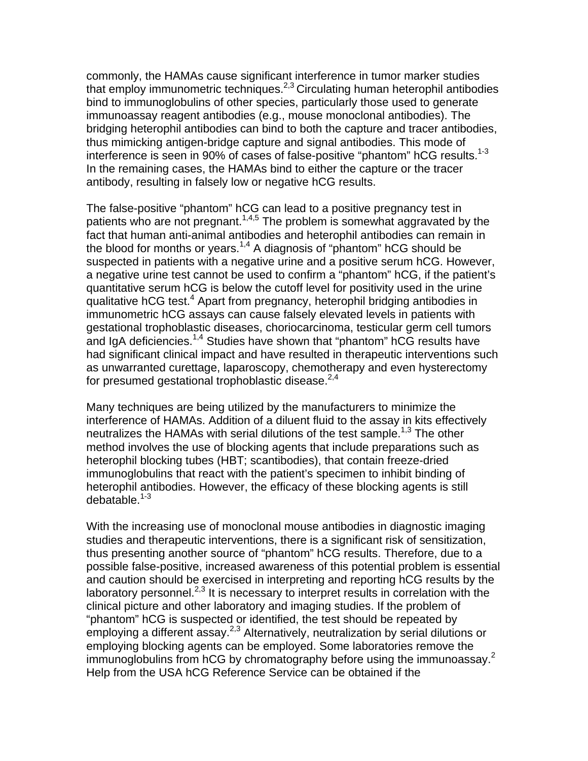commonly, the HAMAs cause significant interference in tumor marker studies that employ immunometric techniques.<sup>2,3</sup> Circulating human heterophil antibodies bind to immunoglobulins of other species, particularly those used to generate immunoassay reagent antibodies (e.g., mouse monoclonal antibodies). The bridging heterophil antibodies can bind to both the capture and tracer antibodies, thus mimicking antigen-bridge capture and signal antibodies. This mode of interference is seen in 90% of cases of false-positive "phantom" hCG results.<sup>1-3</sup> In the remaining cases, the HAMAs bind to either the capture or the tracer antibody, resulting in falsely low or negative hCG results.

The false-positive "phantom" hCG can lead to a positive pregnancy test in patients who are not pregnant.<sup>1,4,5</sup> The problem is somewhat aggravated by the fact that human anti-animal antibodies and heterophil antibodies can remain in the blood for months or years.<sup>1,4</sup> A diagnosis of "phantom" hCG should be suspected in patients with a negative urine and a positive serum hCG. However, a negative urine test cannot be used to confirm a "phantom" hCG, if the patient's quantitative serum hCG is below the cutoff level for positivity used in the urine qualitative hCG test.<sup>4</sup> Apart from pregnancy, heterophil bridging antibodies in immunometric hCG assays can cause falsely elevated levels in patients with gestational trophoblastic diseases, choriocarcinoma, testicular germ cell tumors and IgA deficiencies.<sup>1,4</sup> Studies have shown that "phantom" hCG results have had significant clinical impact and have resulted in therapeutic interventions such as unwarranted curettage, laparoscopy, chemotherapy and even hysterectomy for presumed gestational trophoblastic disease. $2,4$ 

Many techniques are being utilized by the manufacturers to minimize the interference of HAMAs. Addition of a diluent fluid to the assay in kits effectively neutralizes the HAMAs with serial dilutions of the test sample.<sup>1,3</sup> The other method involves the use of blocking agents that include preparations such as heterophil blocking tubes (HBT; scantibodies), that contain freeze-dried immunoglobulins that react with the patient's specimen to inhibit binding of heterophil antibodies. However, the efficacy of these blocking agents is still debatable.<sup>1-3</sup>

With the increasing use of monoclonal mouse antibodies in diagnostic imaging studies and therapeutic interventions, there is a significant risk of sensitization, thus presenting another source of "phantom" hCG results. Therefore, due to a possible false-positive, increased awareness of this potential problem is essential and caution should be exercised in interpreting and reporting hCG results by the laboratory personnel. $^{2,3}$  It is necessary to interpret results in correlation with the clinical picture and other laboratory and imaging studies. If the problem of "phantom" hCG is suspected or identified, the test should be repeated by employing a different assay.<sup>2,3</sup> Alternatively, neutralization by serial dilutions or employing blocking agents can be employed. Some laboratories remove the immunoglobulins from hCG by chromatography before using the immunoassay.<sup>2</sup> Help from the USA hCG Reference Service can be obtained if the